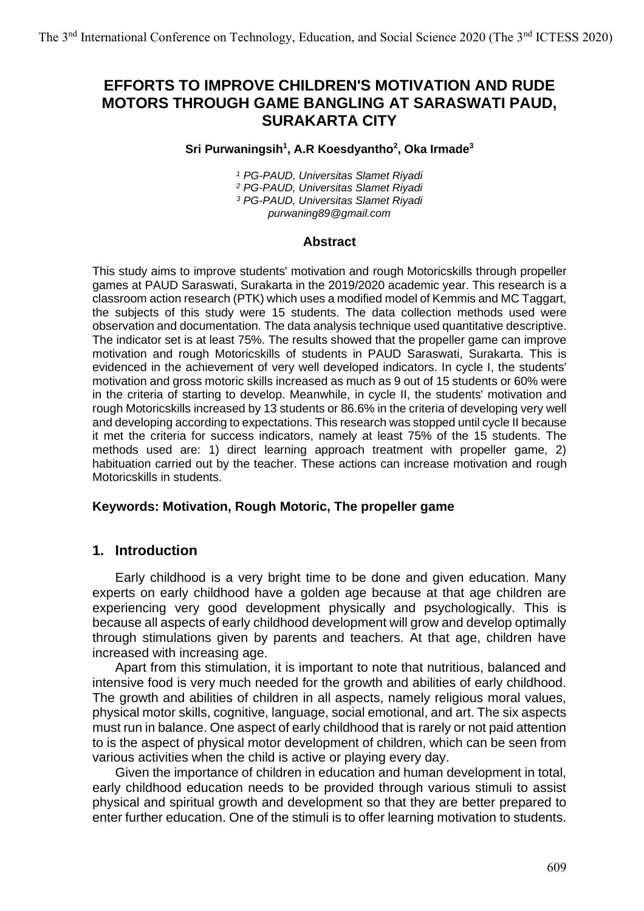# **EFFORTS TO IMPROVE CHILDREN'S MOTIVATION AND RUDE MOTORS THROUGH GAME BANGLING AT SARASWATI PAUD, SURAKARTA CITY**

#### **Sri Purwaningsih 1 , A.R Koesdyantho 2 , Oka Irmade<sup>3</sup>**

 *PG-PAUD, Universitas Slamet Riyadi PG-PAUD, Universitas Slamet Riyadi PG-PAUD, Universitas Slamet Riyadi purwaning89@gmail.com*

#### **Abstract**

This study aims to improve students' motivation and rough Motoricskills through propeller games at PAUD Saraswati, Surakarta in the 2019/2020 academic year. This research is a classroom action research (PTK) which uses a modified model of Kemmis and MC Taggart, the subjects of this study were 15 students. The data collection methods used were observation and documentation. The data analysis technique used quantitative descriptive. The indicator set is at least 75%. The results showed that the propeller game can improve motivation and rough Motoricskills of students in PAUD Saraswati, Surakarta. This is evidenced in the achievement of very well developed indicators. In cycle I, the students' motivation and gross motoric skills increased as much as 9 out of 15 students or 60% were in the criteria of starting to develop. Meanwhile, in cycle II, the students' motivation and rough Motoricskills increased by 13 students or 86.6% in the criteria of developing very well and developing according to expectations. This research was stopped until cycle II because it met the criteria for success indicators, namely at least 75% of the 15 students. The methods used are: 1) direct learning approach treatment with propeller game, 2) habituation carried out by the teacher. These actions can increase motivation and rough Motoricskills in students.

#### **Keywords: Motivation, Rough Motoric, The propeller game**

### **1. Introduction**

Early childhood is a very bright time to be done and given education. Many experts on early childhood have a golden age because at that age children are experiencing very good development physically and psychologically. This is because all aspects of early childhood development will grow and develop optimally through stimulations given by parents and teachers. At that age, children have increased with increasing age.

Apart from this stimulation, it is important to note that nutritious, balanced and intensive food is very much needed for the growth and abilities of early childhood. The growth and abilities of children in all aspects, namely religious moral values, physical motor skills, cognitive, language, social emotional, and art. The six aspects must run in balance. One aspect of early childhood that is rarely or not paid attention to is the aspect of physical motor development of children, which can be seen from various activities when the child is active or playing every day.

Given the importance of children in education and human development in total, early childhood education needs to be provided through various stimuli to assist physical and spiritual growth and development so that they are better prepared to enter further education. One of the stimuli is to offer learning motivation to students.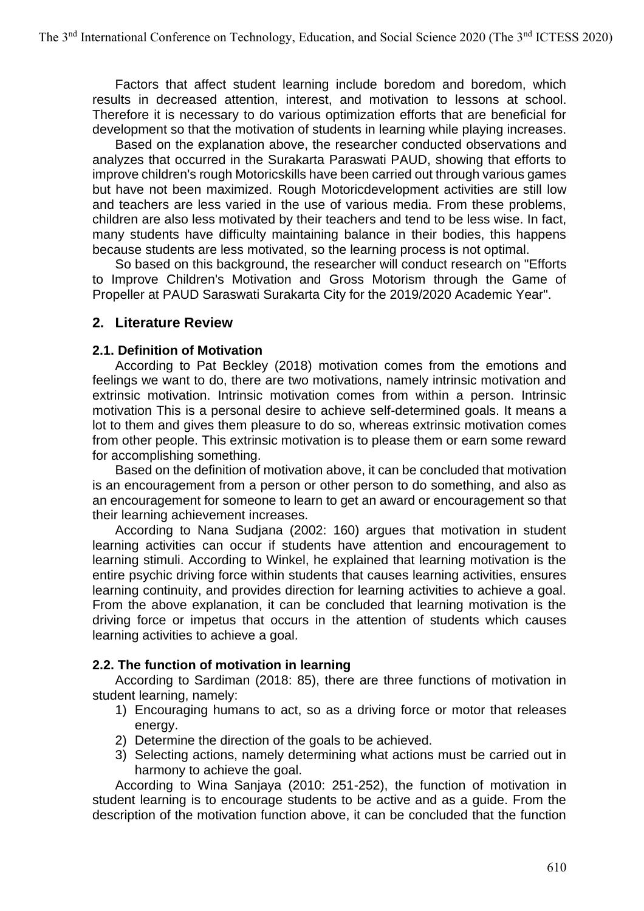Factors that affect student learning include boredom and boredom, which results in decreased attention, interest, and motivation to lessons at school. Therefore it is necessary to do various optimization efforts that are beneficial for development so that the motivation of students in learning while playing increases.

Based on the explanation above, the researcher conducted observations and analyzes that occurred in the Surakarta Paraswati PAUD, showing that efforts to improve children's rough Motoricskills have been carried out through various games but have not been maximized. Rough Motoricdevelopment activities are still low and teachers are less varied in the use of various media. From these problems, children are also less motivated by their teachers and tend to be less wise. In fact, many students have difficulty maintaining balance in their bodies, this happens because students are less motivated, so the learning process is not optimal.

So based on this background, the researcher will conduct research on "Efforts to Improve Children's Motivation and Gross Motorism through the Game of Propeller at PAUD Saraswati Surakarta City for the 2019/2020 Academic Year".

## **2. Literature Review**

#### **2.1. Definition of Motivation**

According to Pat Beckley (2018) motivation comes from the emotions and feelings we want to do, there are two motivations, namely intrinsic motivation and extrinsic motivation. Intrinsic motivation comes from within a person. Intrinsic motivation This is a personal desire to achieve self-determined goals. It means a lot to them and gives them pleasure to do so, whereas extrinsic motivation comes from other people. This extrinsic motivation is to please them or earn some reward for accomplishing something.

Based on the definition of motivation above, it can be concluded that motivation is an encouragement from a person or other person to do something, and also as an encouragement for someone to learn to get an award or encouragement so that their learning achievement increases.

According to Nana Sudjana (2002: 160) argues that motivation in student learning activities can occur if students have attention and encouragement to learning stimuli. According to Winkel, he explained that learning motivation is the entire psychic driving force within students that causes learning activities, ensures learning continuity, and provides direction for learning activities to achieve a goal. From the above explanation, it can be concluded that learning motivation is the driving force or impetus that occurs in the attention of students which causes learning activities to achieve a goal.

### **2.2. The function of motivation in learning**

According to Sardiman (2018: 85), there are three functions of motivation in student learning, namely:

- 1) Encouraging humans to act, so as a driving force or motor that releases energy.
- 2) Determine the direction of the goals to be achieved.
- 3) Selecting actions, namely determining what actions must be carried out in harmony to achieve the goal.

According to Wina Sanjaya (2010: 251-252), the function of motivation in student learning is to encourage students to be active and as a guide. From the description of the motivation function above, it can be concluded that the function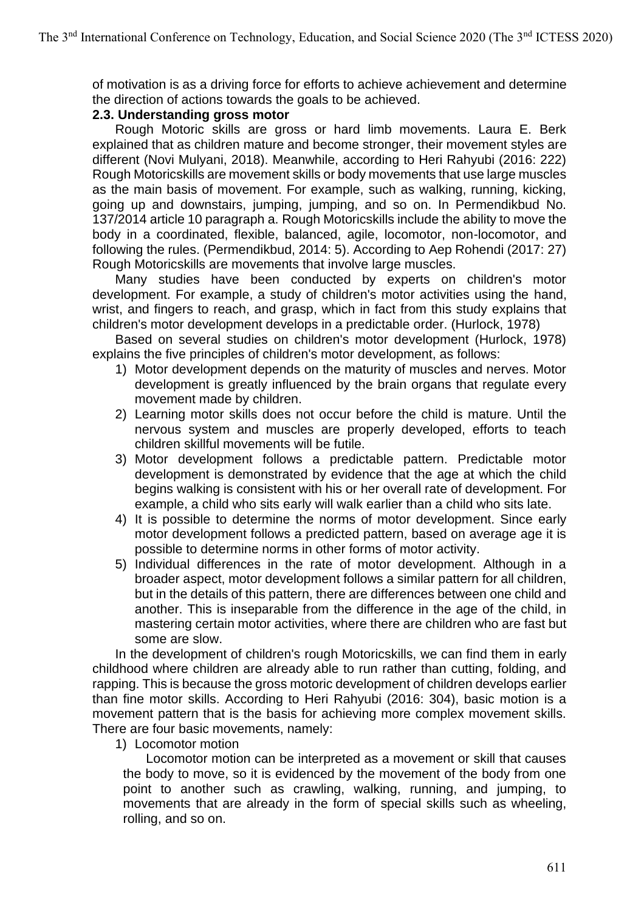of motivation is as a driving force for efforts to achieve achievement and determine the direction of actions towards the goals to be achieved.

### **2.3. Understanding gross motor**

Rough Motoric skills are gross or hard limb movements. Laura E. Berk explained that as children mature and become stronger, their movement styles are different (Novi Mulyani, 2018). Meanwhile, according to Heri Rahyubi (2016: 222) Rough Motoricskills are movement skills or body movements that use large muscles as the main basis of movement. For example, such as walking, running, kicking, going up and downstairs, jumping, jumping, and so on. In Permendikbud No. 137/2014 article 10 paragraph a. Rough Motoricskills include the ability to move the body in a coordinated, flexible, balanced, agile, locomotor, non-locomotor, and following the rules. (Permendikbud, 2014: 5). According to Aep Rohendi (2017: 27) Rough Motoricskills are movements that involve large muscles.

Many studies have been conducted by experts on children's motor development. For example, a study of children's motor activities using the hand, wrist, and fingers to reach, and grasp, which in fact from this study explains that children's motor development develops in a predictable order. (Hurlock, 1978)

Based on several studies on children's motor development (Hurlock, 1978) explains the five principles of children's motor development, as follows:

- 1) Motor development depends on the maturity of muscles and nerves. Motor development is greatly influenced by the brain organs that regulate every movement made by children.
- 2) Learning motor skills does not occur before the child is mature. Until the nervous system and muscles are properly developed, efforts to teach children skillful movements will be futile.
- 3) Motor development follows a predictable pattern. Predictable motor development is demonstrated by evidence that the age at which the child begins walking is consistent with his or her overall rate of development. For example, a child who sits early will walk earlier than a child who sits late.
- 4) It is possible to determine the norms of motor development. Since early motor development follows a predicted pattern, based on average age it is possible to determine norms in other forms of motor activity.
- 5) Individual differences in the rate of motor development. Although in a broader aspect, motor development follows a similar pattern for all children, but in the details of this pattern, there are differences between one child and another. This is inseparable from the difference in the age of the child, in mastering certain motor activities, where there are children who are fast but some are slow.

In the development of children's rough Motoricskills, we can find them in early childhood where children are already able to run rather than cutting, folding, and rapping. This is because the gross motoric development of children develops earlier than fine motor skills. According to Heri Rahyubi (2016: 304), basic motion is a movement pattern that is the basis for achieving more complex movement skills. There are four basic movements, namely:

1) Locomotor motion

Locomotor motion can be interpreted as a movement or skill that causes the body to move, so it is evidenced by the movement of the body from one point to another such as crawling, walking, running, and jumping, to movements that are already in the form of special skills such as wheeling, rolling, and so on.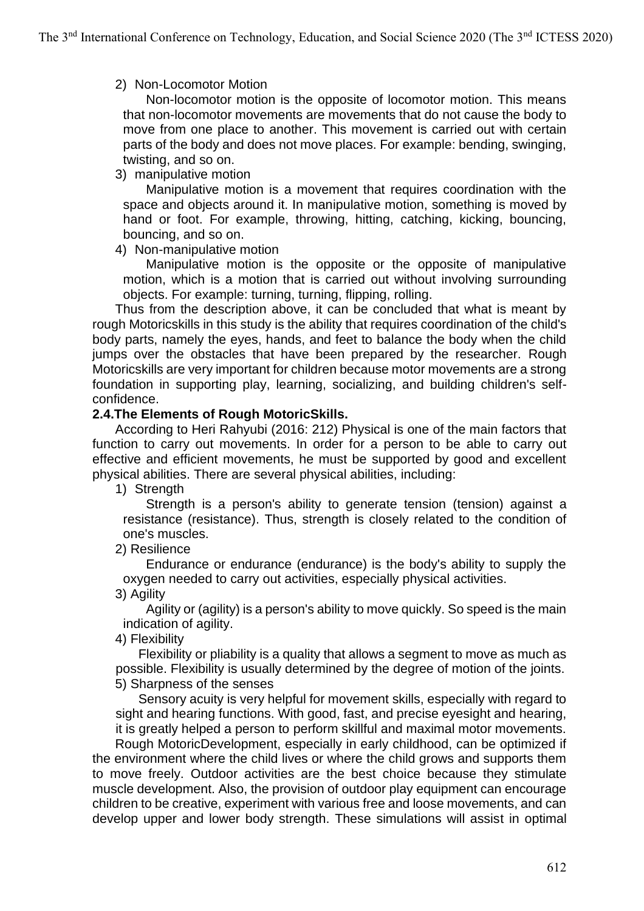### 2) Non-Locomotor Motion

Non-locomotor motion is the opposite of locomotor motion. This means that non-locomotor movements are movements that do not cause the body to move from one place to another. This movement is carried out with certain parts of the body and does not move places. For example: bending, swinging, twisting, and so on.

#### 3) manipulative motion

Manipulative motion is a movement that requires coordination with the space and objects around it. In manipulative motion, something is moved by hand or foot. For example, throwing, hitting, catching, kicking, bouncing, bouncing, and so on.

### 4) Non-manipulative motion

Manipulative motion is the opposite or the opposite of manipulative motion, which is a motion that is carried out without involving surrounding objects. For example: turning, turning, flipping, rolling.

Thus from the description above, it can be concluded that what is meant by rough Motoricskills in this study is the ability that requires coordination of the child's body parts, namely the eyes, hands, and feet to balance the body when the child jumps over the obstacles that have been prepared by the researcher. Rough Motoricskills are very important for children because motor movements are a strong foundation in supporting play, learning, socializing, and building children's selfconfidence.

#### **2.4.The Elements of Rough MotoricSkills.**

According to Heri Rahyubi (2016: 212) Physical is one of the main factors that function to carry out movements. In order for a person to be able to carry out effective and efficient movements, he must be supported by good and excellent physical abilities. There are several physical abilities, including:

1) Strength

Strength is a person's ability to generate tension (tension) against a resistance (resistance). Thus, strength is closely related to the condition of one's muscles.

2) Resilience

Endurance or endurance (endurance) is the body's ability to supply the oxygen needed to carry out activities, especially physical activities.

3) Agility

Agility or (agility) is a person's ability to move quickly. So speed is the main indication of agility.

4) Flexibility

Flexibility or pliability is a quality that allows a segment to move as much as possible. Flexibility is usually determined by the degree of motion of the joints. 5) Sharpness of the senses

Sensory acuity is very helpful for movement skills, especially with regard to sight and hearing functions. With good, fast, and precise eyesight and hearing, it is greatly helped a person to perform skillful and maximal motor movements.

Rough MotoricDevelopment, especially in early childhood, can be optimized if the environment where the child lives or where the child grows and supports them to move freely. Outdoor activities are the best choice because they stimulate muscle development. Also, the provision of outdoor play equipment can encourage children to be creative, experiment with various free and loose movements, and can develop upper and lower body strength. These simulations will assist in optimal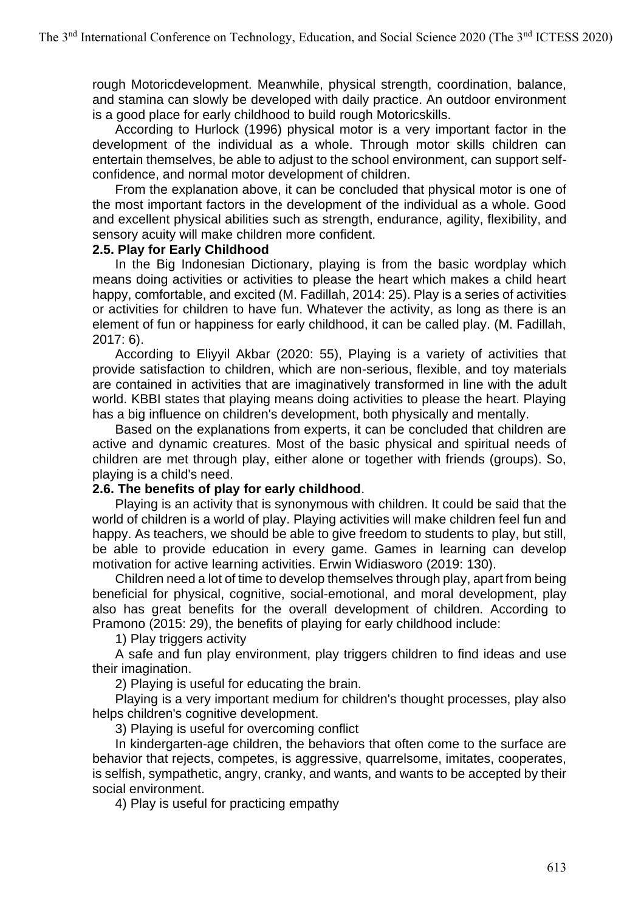rough Motoricdevelopment. Meanwhile, physical strength, coordination, balance, and stamina can slowly be developed with daily practice. An outdoor environment is a good place for early childhood to build rough Motoricskills.

According to Hurlock (1996) physical motor is a very important factor in the development of the individual as a whole. Through motor skills children can entertain themselves, be able to adjust to the school environment, can support selfconfidence, and normal motor development of children.

From the explanation above, it can be concluded that physical motor is one of the most important factors in the development of the individual as a whole. Good and excellent physical abilities such as strength, endurance, agility, flexibility, and sensory acuity will make children more confident.

#### **2.5. Play for Early Childhood**

In the Big Indonesian Dictionary, playing is from the basic wordplay which means doing activities or activities to please the heart which makes a child heart happy, comfortable, and excited (M. Fadillah, 2014: 25). Play is a series of activities or activities for children to have fun. Whatever the activity, as long as there is an element of fun or happiness for early childhood, it can be called play. (M. Fadillah, 2017: 6).

According to Eliyyil Akbar (2020: 55), Playing is a variety of activities that provide satisfaction to children, which are non-serious, flexible, and toy materials are contained in activities that are imaginatively transformed in line with the adult world. KBBI states that playing means doing activities to please the heart. Playing has a big influence on children's development, both physically and mentally.

Based on the explanations from experts, it can be concluded that children are active and dynamic creatures. Most of the basic physical and spiritual needs of children are met through play, either alone or together with friends (groups). So, playing is a child's need.

### **2.6. The benefits of play for early childhood**.

Playing is an activity that is synonymous with children. It could be said that the world of children is a world of play. Playing activities will make children feel fun and happy. As teachers, we should be able to give freedom to students to play, but still, be able to provide education in every game. Games in learning can develop motivation for active learning activities. Erwin Widiasworo (2019: 130).

Children need a lot of time to develop themselves through play, apart from being beneficial for physical, cognitive, social-emotional, and moral development, play also has great benefits for the overall development of children. According to Pramono (2015: 29), the benefits of playing for early childhood include:

1) Play triggers activity

A safe and fun play environment, play triggers children to find ideas and use their imagination.

2) Playing is useful for educating the brain.

Playing is a very important medium for children's thought processes, play also helps children's cognitive development.

3) Playing is useful for overcoming conflict

In kindergarten-age children, the behaviors that often come to the surface are behavior that rejects, competes, is aggressive, quarrelsome, imitates, cooperates, is selfish, sympathetic, angry, cranky, and wants, and wants to be accepted by their social environment.

4) Play is useful for practicing empathy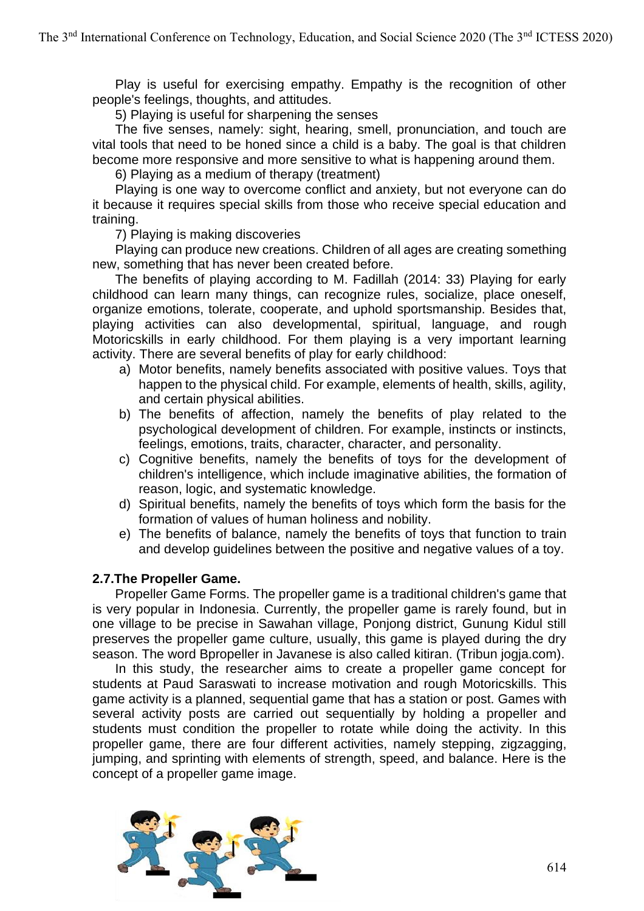Play is useful for exercising empathy. Empathy is the recognition of other people's feelings, thoughts, and attitudes.

5) Playing is useful for sharpening the senses

The five senses, namely: sight, hearing, smell, pronunciation, and touch are vital tools that need to be honed since a child is a baby. The goal is that children become more responsive and more sensitive to what is happening around them.

6) Playing as a medium of therapy (treatment)

Playing is one way to overcome conflict and anxiety, but not everyone can do it because it requires special skills from those who receive special education and training.

7) Playing is making discoveries

Playing can produce new creations. Children of all ages are creating something new, something that has never been created before.

The benefits of playing according to M. Fadillah (2014: 33) Playing for early childhood can learn many things, can recognize rules, socialize, place oneself, organize emotions, tolerate, cooperate, and uphold sportsmanship. Besides that, playing activities can also developmental, spiritual, language, and rough Motoricskills in early childhood. For them playing is a very important learning activity. There are several benefits of play for early childhood:

- a) Motor benefits, namely benefits associated with positive values. Toys that happen to the physical child. For example, elements of health, skills, agility, and certain physical abilities.
- b) The benefits of affection, namely the benefits of play related to the psychological development of children. For example, instincts or instincts, feelings, emotions, traits, character, character, and personality.
- c) Cognitive benefits, namely the benefits of toys for the development of children's intelligence, which include imaginative abilities, the formation of reason, logic, and systematic knowledge.
- d) Spiritual benefits, namely the benefits of toys which form the basis for the formation of values of human holiness and nobility.
- e) The benefits of balance, namely the benefits of toys that function to train and develop guidelines between the positive and negative values of a toy.

### **2.7.The Propeller Game.**

Propeller Game Forms. The propeller game is a traditional children's game that is very popular in Indonesia. Currently, the propeller game is rarely found, but in one village to be precise in Sawahan village, Ponjong district, Gunung Kidul still preserves the propeller game culture, usually, this game is played during the dry season. The word Bpropeller in Javanese is also called kitiran. (Tribun jogja.com).

In this study, the researcher aims to create a propeller game concept for students at Paud Saraswati to increase motivation and rough Motoricskills. This game activity is a planned, sequential game that has a station or post. Games with several activity posts are carried out sequentially by holding a propeller and students must condition the propeller to rotate while doing the activity. In this propeller game, there are four different activities, namely stepping, zigzagging, jumping, and sprinting with elements of strength, speed, and balance. Here is the concept of a propeller game image.

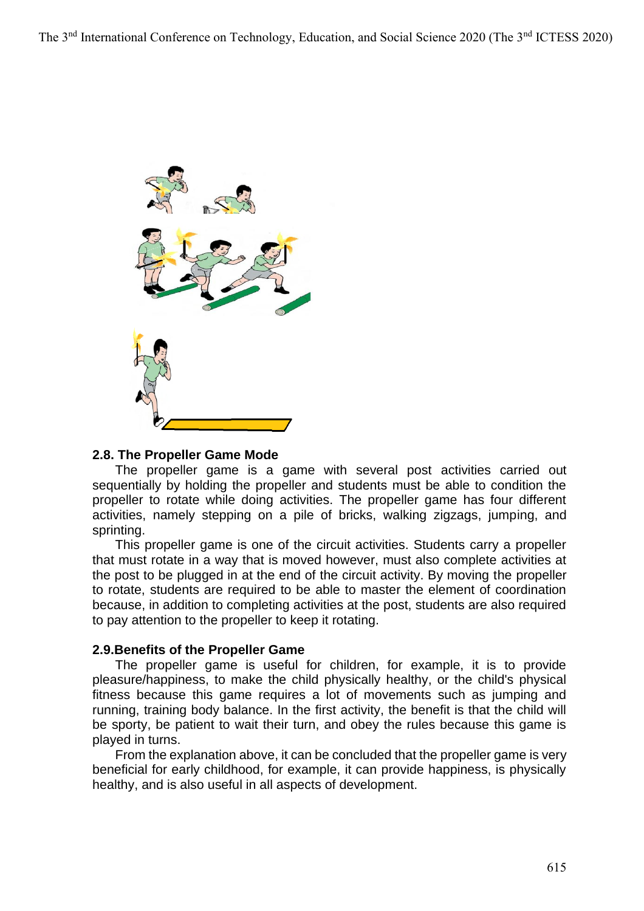

#### **2.8. The Propeller Game Mode**

The propeller game is a game with several post activities carried out sequentially by holding the propeller and students must be able to condition the propeller to rotate while doing activities. The propeller game has four different activities, namely stepping on a pile of bricks, walking zigzags, jumping, and sprinting.

This propeller game is one of the circuit activities. Students carry a propeller that must rotate in a way that is moved however, must also complete activities at the post to be plugged in at the end of the circuit activity. By moving the propeller to rotate, students are required to be able to master the element of coordination because, in addition to completing activities at the post, students are also required to pay attention to the propeller to keep it rotating.

#### **2.9.Benefits of the Propeller Game**

The propeller game is useful for children, for example, it is to provide pleasure/happiness, to make the child physically healthy, or the child's physical fitness because this game requires a lot of movements such as jumping and running, training body balance. In the first activity, the benefit is that the child will be sporty, be patient to wait their turn, and obey the rules because this game is played in turns.

From the explanation above, it can be concluded that the propeller game is very beneficial for early childhood, for example, it can provide happiness, is physically healthy, and is also useful in all aspects of development.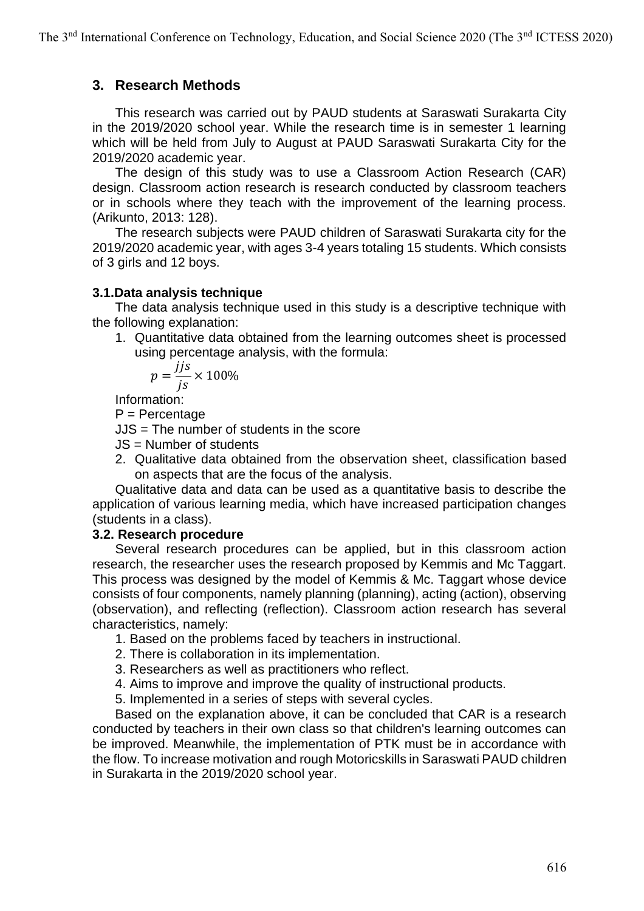## **3. Research Methods**

This research was carried out by PAUD students at Saraswati Surakarta City in the 2019/2020 school year. While the research time is in semester 1 learning which will be held from July to August at PAUD Saraswati Surakarta City for the 2019/2020 academic year.

The design of this study was to use a Classroom Action Research (CAR) design. Classroom action research is research conducted by classroom teachers or in schools where they teach with the improvement of the learning process. (Arikunto, 2013: 128).

The research subjects were PAUD children of Saraswati Surakarta city for the 2019/2020 academic year, with ages 3-4 years totaling 15 students. Which consists of 3 girls and 12 boys.

### **3.1.Data analysis technique**

The data analysis technique used in this study is a descriptive technique with the following explanation:

1. Quantitative data obtained from the learning outcomes sheet is processed using percentage analysis, with the formula:

$$
p = \frac{jjs}{js} \times 100\%
$$

Information:

P = Percentage

JJS = The number of students in the score

- JS = Number of students
- 2. Qualitative data obtained from the observation sheet, classification based on aspects that are the focus of the analysis.

Qualitative data and data can be used as a quantitative basis to describe the application of various learning media, which have increased participation changes (students in a class).

### **3.2. Research procedure**

Several research procedures can be applied, but in this classroom action research, the researcher uses the research proposed by Kemmis and Mc Taggart. This process was designed by the model of Kemmis & Mc. Taggart whose device consists of four components, namely planning (planning), acting (action), observing (observation), and reflecting (reflection). Classroom action research has several characteristics, namely:

- 1. Based on the problems faced by teachers in instructional.
- 2. There is collaboration in its implementation.
- 3. Researchers as well as practitioners who reflect.
- 4. Aims to improve and improve the quality of instructional products.
- 5. Implemented in a series of steps with several cycles.

Based on the explanation above, it can be concluded that CAR is a research conducted by teachers in their own class so that children's learning outcomes can be improved. Meanwhile, the implementation of PTK must be in accordance with the flow. To increase motivation and rough Motoricskills in Saraswati PAUD children in Surakarta in the 2019/2020 school year.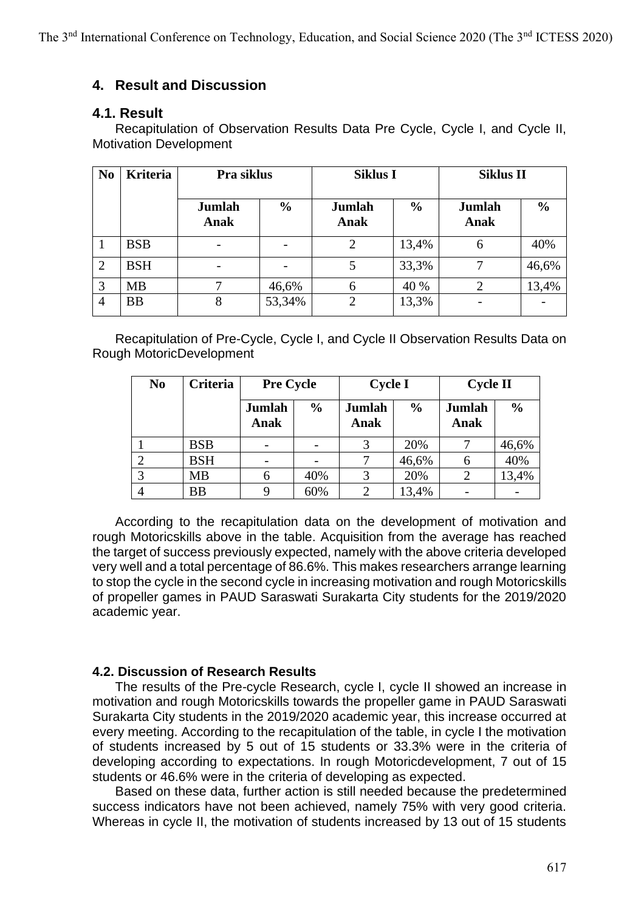## **4. Result and Discussion**

### **4.1. Result**

Recapitulation of Observation Results Data Pre Cycle, Cycle I, and Cycle II, Motivation Development

| N <sub>0</sub> | <b>Kriteria</b> | Pra siklus               |               | <b>Siklus I</b> |               | <b>Siklus II</b> |               |
|----------------|-----------------|--------------------------|---------------|-----------------|---------------|------------------|---------------|
|                |                 | Jumlah<br>Anak           | $\frac{0}{0}$ | Jumlah<br>Anak  | $\frac{6}{9}$ | Jumlah<br>Anak   | $\frac{0}{0}$ |
|                | <b>BSB</b>      |                          |               | 2               | 13,4%         | 6                | 40%           |
| 2              | <b>BSH</b>      | $\overline{\phantom{0}}$ |               |                 | 33,3%         |                  | 46,6%         |
| 3              | <b>MB</b>       |                          | 46,6%         | h               | 40 %          |                  | 13,4%         |
| 4              | <b>BB</b>       | 8                        | 53,34%        |                 | 13,3%         |                  |               |

Recapitulation of Pre-Cycle, Cycle I, and Cycle II Observation Results Data on Rough MotoricDevelopment

| N <sub>0</sub> | Criteria   | <b>Pre Cycle</b> |               | <b>Cycle I</b> |               | <b>Cycle II</b> |               |
|----------------|------------|------------------|---------------|----------------|---------------|-----------------|---------------|
|                |            | Jumlah<br>Anak   | $\frac{0}{0}$ | Jumlah<br>Anak | $\frac{0}{0}$ | Jumlah<br>Anak  | $\frac{0}{0}$ |
|                | <b>BSB</b> |                  |               |                | 20%           |                 | 46,6%         |
|                | <b>BSH</b> |                  |               |                | 46,6%         |                 | 40%           |
|                | MB         |                  | 40%           |                | 20%           |                 | 13,4%         |
|                | BB         |                  | 60%           |                | 13,4%         |                 |               |

According to the recapitulation data on the development of motivation and rough Motoricskills above in the table. Acquisition from the average has reached the target of success previously expected, namely with the above criteria developed very well and a total percentage of 86.6%. This makes researchers arrange learning to stop the cycle in the second cycle in increasing motivation and rough Motoricskills of propeller games in PAUD Saraswati Surakarta City students for the 2019/2020 academic year.

### **4.2. Discussion of Research Results**

The results of the Pre-cycle Research, cycle I, cycle II showed an increase in motivation and rough Motoricskills towards the propeller game in PAUD Saraswati Surakarta City students in the 2019/2020 academic year, this increase occurred at every meeting. According to the recapitulation of the table, in cycle I the motivation of students increased by 5 out of 15 students or 33.3% were in the criteria of developing according to expectations. In rough Motoricdevelopment, 7 out of 15 students or 46.6% were in the criteria of developing as expected.

Based on these data, further action is still needed because the predetermined success indicators have not been achieved, namely 75% with very good criteria. Whereas in cycle II, the motivation of students increased by 13 out of 15 students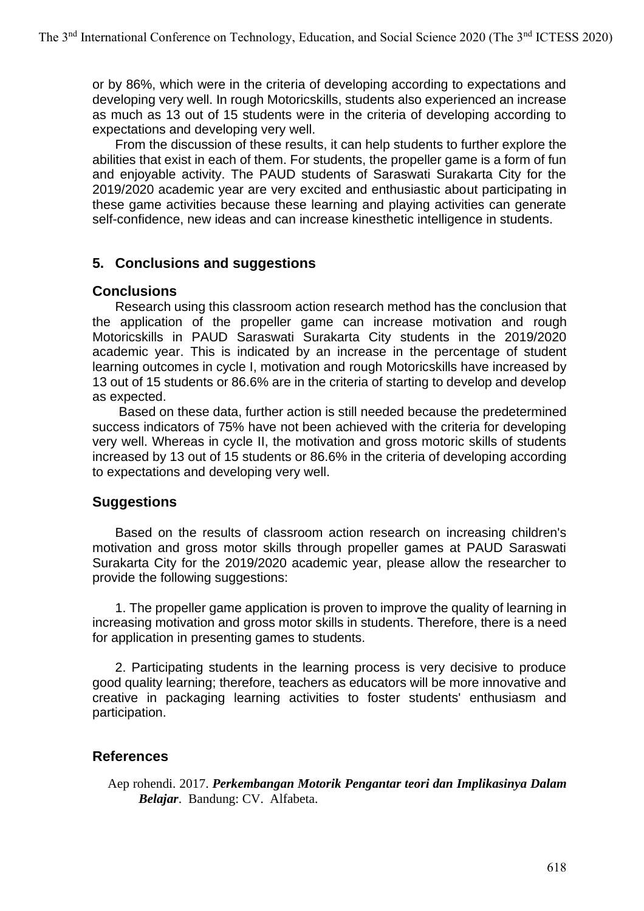or by 86%, which were in the criteria of developing according to expectations and developing very well. In rough Motoricskills, students also experienced an increase as much as 13 out of 15 students were in the criteria of developing according to expectations and developing very well.

From the discussion of these results, it can help students to further explore the abilities that exist in each of them. For students, the propeller game is a form of fun and enjoyable activity. The PAUD students of Saraswati Surakarta City for the 2019/2020 academic year are very excited and enthusiastic about participating in these game activities because these learning and playing activities can generate self-confidence, new ideas and can increase kinesthetic intelligence in students.

## **5. Conclusions and suggestions**

## **Conclusions**

Research using this classroom action research method has the conclusion that the application of the propeller game can increase motivation and rough Motoricskills in PAUD Saraswati Surakarta City students in the 2019/2020 academic year. This is indicated by an increase in the percentage of student learning outcomes in cycle I, motivation and rough Motoricskills have increased by 13 out of 15 students or 86.6% are in the criteria of starting to develop and develop as expected.

Based on these data, further action is still needed because the predetermined success indicators of 75% have not been achieved with the criteria for developing very well. Whereas in cycle II, the motivation and gross motoric skills of students increased by 13 out of 15 students or 86.6% in the criteria of developing according to expectations and developing very well.

## **Suggestions**

Based on the results of classroom action research on increasing children's motivation and gross motor skills through propeller games at PAUD Saraswati Surakarta City for the 2019/2020 academic year, please allow the researcher to provide the following suggestions:

1. The propeller game application is proven to improve the quality of learning in increasing motivation and gross motor skills in students. Therefore, there is a need for application in presenting games to students.

2. Participating students in the learning process is very decisive to produce good quality learning; therefore, teachers as educators will be more innovative and creative in packaging learning activities to foster students' enthusiasm and participation.

## **References**

Aep rohendi. 2017. *Perkembangan Motorik Pengantar teori dan Implikasinya Dalam Belajar*. Bandung: CV. Alfabeta.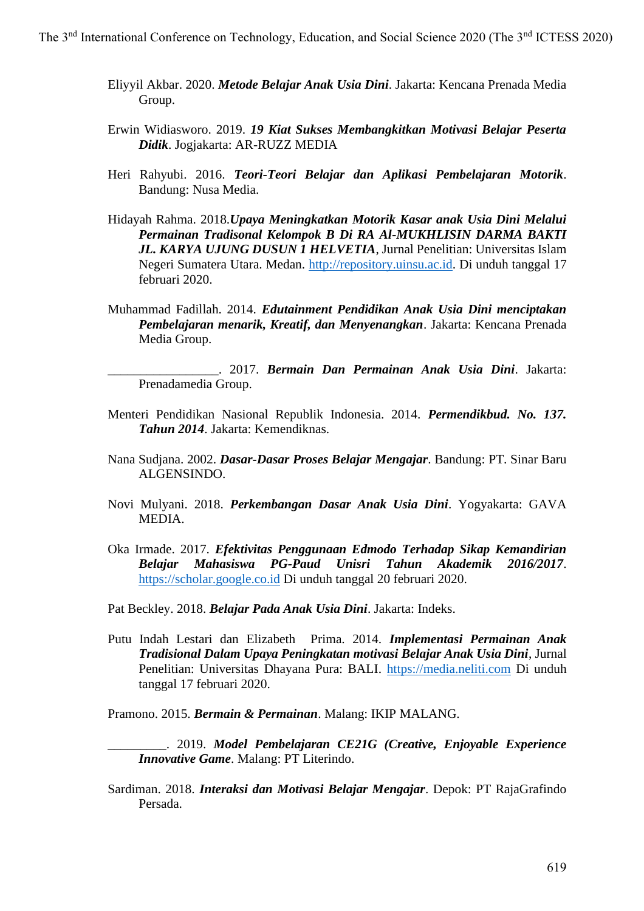- Eliyyil Akbar. 2020. *Metode Belajar Anak Usia Dini*. Jakarta: Kencana Prenada Media Group.
- Erwin Widiasworo. 2019. *19 Kiat Sukses Membangkitkan Motivasi Belajar Peserta Didik*. Jogjakarta: AR-RUZZ MEDIA
- Heri Rahyubi. 2016. *Teori-Teori Belajar dan Aplikasi Pembelajaran Motorik*. Bandung: Nusa Media.
- Hidayah Rahma. 2018.*Upaya Meningkatkan Motorik Kasar anak Usia Dini Melalui Permainan Tradisonal Kelompok B Di RA Al-MUKHLISIN DARMA BAKTI JL. KARYA UJUNG DUSUN 1 HELVETIA*, Jurnal Penelitian: Universitas Islam Negeri Sumatera Utara. Medan. [http://repository.uinsu.ac.id.](http://repository.uinsu.ac.id/) Di unduh tanggal 17 februari 2020.
- Muhammad Fadillah. 2014. *Edutainment Pendidikan Anak Usia Dini menciptakan Pembelajaran menarik, Kreatif, dan Menyenangkan*. Jakarta: Kencana Prenada Media Group.

\_\_\_\_\_\_\_\_\_\_\_\_\_\_\_\_\_. 2017. *Bermain Dan Permainan Anak Usia Dini*. Jakarta: Prenadamedia Group.

- Menteri Pendidikan Nasional Republik Indonesia. 2014. *Permendikbud. No. 137. Tahun 2014*. Jakarta: Kemendiknas.
- Nana Sudjana. 2002. *Dasar-Dasar Proses Belajar Mengajar*. Bandung: PT. Sinar Baru ALGENSINDO.
- Novi Mulyani. 2018. *Perkembangan Dasar Anak Usia Dini*. Yogyakarta: GAVA MEDIA.
- Oka Irmade. 2017. *Efektivitas Penggunaan Edmodo Terhadap Sikap Kemandirian Belajar Mahasiswa PG-Paud Unisri Tahun Akademik 2016/2017*. [https://scholar.google.co.id](https://scholar.google.co.id/) Di unduh tanggal 20 februari 2020.
- Pat Beckley. 2018. *Belajar Pada Anak Usia Dini*. Jakarta: Indeks.
- Putu Indah Lestari dan Elizabeth Prima. 2014. *Implementasi Permainan Anak Tradisional Dalam Upaya Peningkatan motivasi Belajar Anak Usia Dini*, Jurnal Penelitian: Universitas Dhayana Pura: BALI. [https://media.neliti.com](https://media.neliti.com/) Di unduh tanggal 17 februari 2020.

Pramono. 2015. *Bermain & Permainan*. Malang: IKIP MALANG.

- \_\_\_\_\_\_\_\_\_. 2019. *Model Pembelajaran CE21G (Creative, Enjoyable Experience Innovative Game*. Malang: PT Literindo.
- Sardiman. 2018. *Interaksi dan Motivasi Belajar Mengajar*. Depok: PT RajaGrafindo Persada.